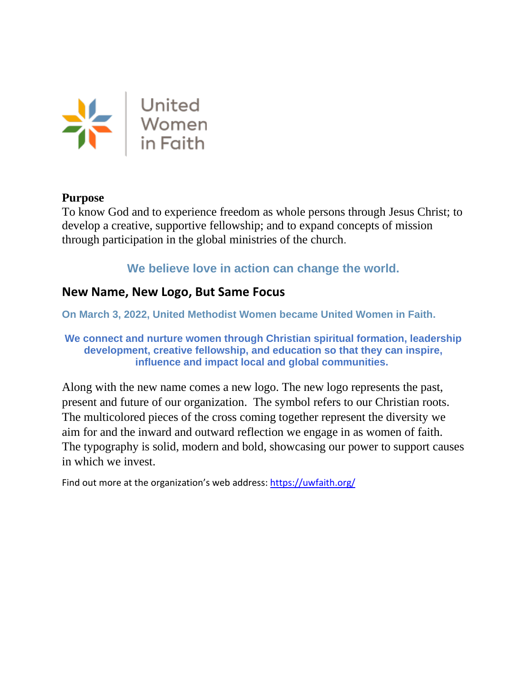

## **Purpose**

To know God and to experience freedom as whole persons through Jesus Christ; to develop a creative, supportive fellowship; and to expand concepts of mission through participation in the global ministries of the church.

**We believe love in action can change the world.**

## **New Name, New Logo, But Same Focus**

**On March 3, 2022, United Methodist Women became United Women in Faith.**

**We connect and nurture women through Christian spiritual formation, leadership development, creative fellowship, and education so that they can inspire, influence and impact local and global communities.**

Along with the new name comes a new logo. The new logo represents the past, present and future of our organization. The symbol refers to our Christian roots. The multicolored pieces of the cross coming together represent the diversity we aim for and the inward and outward reflection we engage in as women of faith. The typography is solid, modern and bold, showcasing our power to support causes in which we invest.

Find out more at the organization's web address:<https://uwfaith.org/>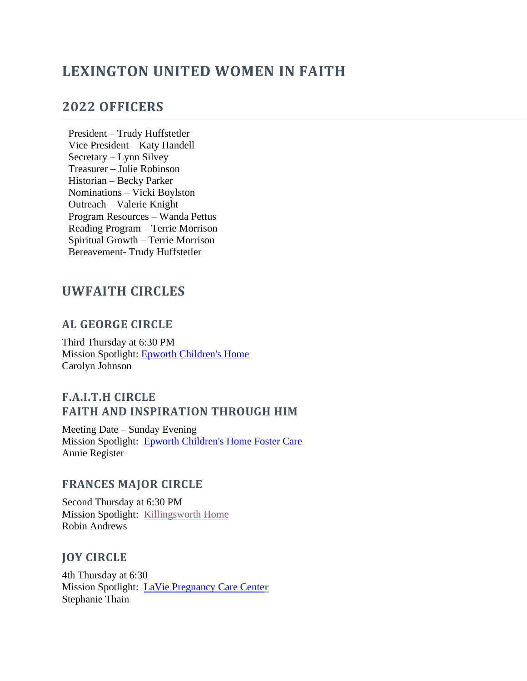## **LEXINGTON UNITED WOMEN IN FAITH**

## **2022 OFFICERS**

President – Trudy Huffstetler Vice President – Katy Handell Secretary – Lynn Silvey Treasurer – Julie Robinson Historian – Becky Parker Nominations – Vicki Boylston Outreach – Valerie Knight Program Resources – Wanda Pettus Reading Program – Terrie Morrison Spiritual Growth – Terrie Morrison Bereavement- Trudy Huffstetler

## **UWFAITH CIRCLES**

#### **AL GEORGE CIRCLE**

Third Thursday at 6:30 PM Mission Spotlight: [Epworth Children's Home](https://www.epworthchildrenshome.org/) Carolyn Johnson

### **F.A.I.T.H CIRCLE FAITH AND INSPIRATION THROUGH HIM**

Meeting Date – Sunday Evening Mission Spotlight: [Epworth Children's Home Foster Care](https://www.epworthchildrenshome.org/what/foster-care-program/) Annie Register

#### **FRANCES MAJOR CIRCLE**

Second Thursday at 6:30 PM Mission Spotlight: [Killingsworth Home](http://www.killingsworth.org/) Robin Andrews

#### **JOY CIRCLE**

4th Thursday at 6:30 Mission Spotlight: [LaVie Pregnancy Care Cente](https://laviesc.org/)**r** Stephanie Thain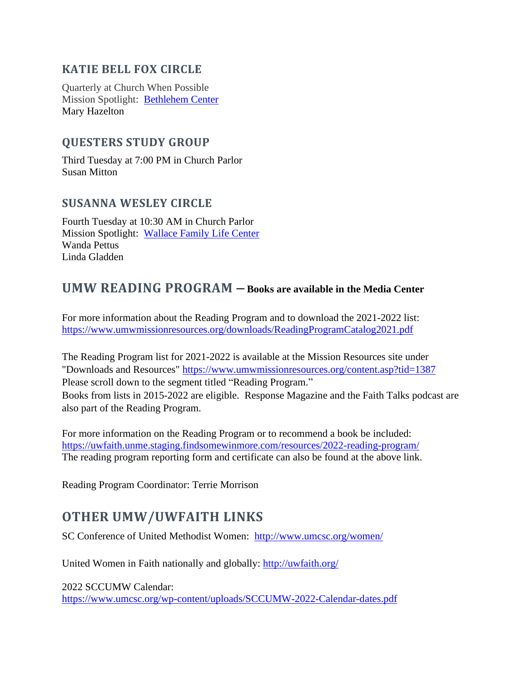## **KATIE BELL FOX CIRCLE**

Quarterly at Church When Possible Mission Spotlight: [Bethlehem Center](https://www.thebethlehem.center/) Mary Hazelton

## **QUESTERS STUDY GROUP**

Third Tuesday at 7:00 PM in Church Parlo[r](http://www.ruralmission.org/) Susan Mitton

#### **SUSANNA WESLEY CIRCLE**

Fourth Tuesday at 10:30 AM in Church Parlor Mission Spotlight: [Wallace Family Life Center](http://wflc.tripod.com/) Wanda Pettus Linda Gladden

## **UMW READING PROGRAM – Books are available in the Media Center**

For more information about the Reading Program and to download the 2021-2022 list: <https://www.umwmissionresources.org/downloads/ReadingProgramCatalog2021.pdf>

The Reading Program list for 2021-2022 is available at the Mission Resources site under "Downloads and Resources" <https://www.umwmissionresources.org/content.asp?tid=1387> Please scroll down to the segment titled "Reading Program." Books from lists in 2015-2022 are eligible. Response Magazine and the Faith Talks podcast are also part of the Reading Program.

For more information on the Reading Program or to recommend a book be included: <https://uwfaith.unme.staging.findsomewinmore.com/resources/2022-reading-program/> The reading program reporting form and certificate can also be found at the above link.

Reading Program Coordinator: Terrie Morrison

## **OTHER UMW/UWFAITH LINKS**

SC Conference of United Methodist Women: <http://www.umcsc.org/women/>

United Women in Faith nationally and globally: <http://uwfaith.org/>

2022 SCCUMW Calendar: <https://www.umcsc.org/wp-content/uploads/SCCUMW-2022-Calendar-dates.pdf>